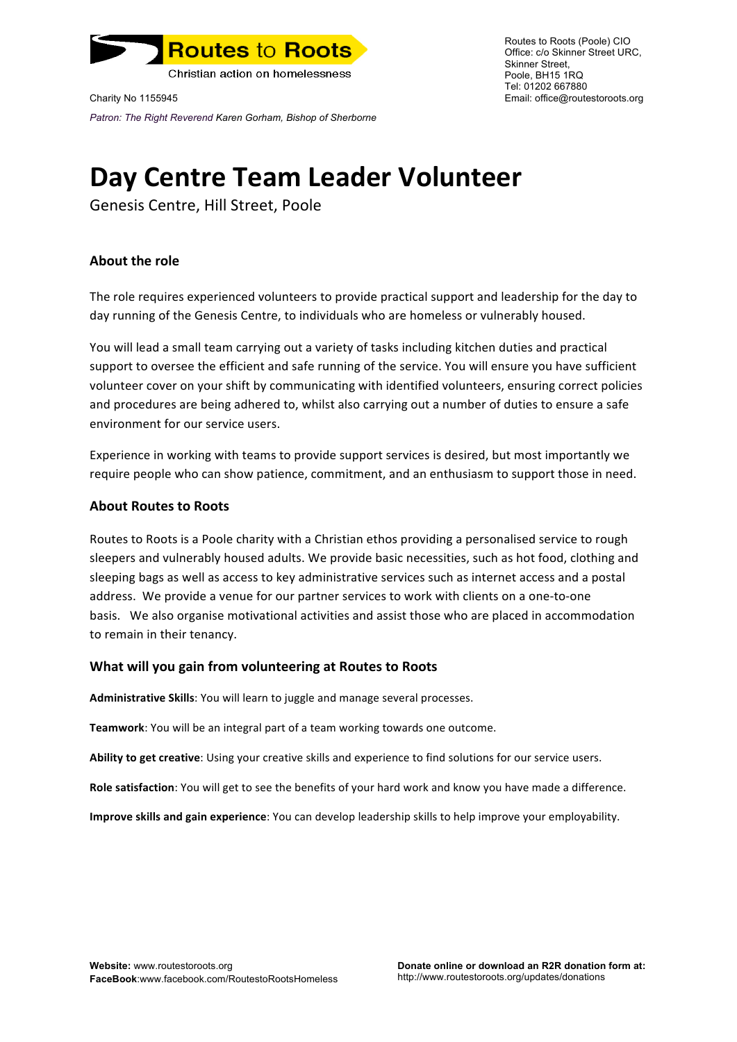

Charity No 1155945 Email: office@routestoroots.org *Patron: The Right Reverend Karen Gorham, Bishop of Sherborne*

Routes to Roots (Poole) CIO Office: c/o Skinner Street URC, Skinner Street, Poole, BH15 1RQ Tel: 01202 667880

# **Day Centre Team Leader Volunteer**

Genesis Centre, Hill Street, Poole

# **About the role**

The role requires experienced volunteers to provide practical support and leadership for the day to day running of the Genesis Centre, to individuals who are homeless or vulnerably housed.

You will lead a small team carrying out a variety of tasks including kitchen duties and practical support to oversee the efficient and safe running of the service. You will ensure you have sufficient volunteer cover on your shift by communicating with identified volunteers, ensuring correct policies and procedures are being adhered to, whilst also carrying out a number of duties to ensure a safe environment for our service users.

Experience in working with teams to provide support services is desired, but most importantly we require people who can show patience, commitment, and an enthusiasm to support those in need.

## **About Routes to Roots**

Routes to Roots is a Poole charity with a Christian ethos providing a personalised service to rough sleepers and vulnerably housed adults. We provide basic necessities, such as hot food, clothing and sleeping bags as well as access to key administrative services such as internet access and a postal address. We provide a venue for our partner services to work with clients on a one-to-one basis. We also organise motivational activities and assist those who are placed in accommodation to remain in their tenancy.

### **What will you gain from volunteering at Routes to Roots**

Administrative Skills: You will learn to juggle and manage several processes.

**Teamwork**: You will be an integral part of a team working towards one outcome.

Ability to get creative: Using your creative skills and experience to find solutions for our service users.

**Role satisfaction**: You will get to see the benefits of your hard work and know you have made a difference.

**Improve skills and gain experience**: You can develop leadership skills to help improve your employability.